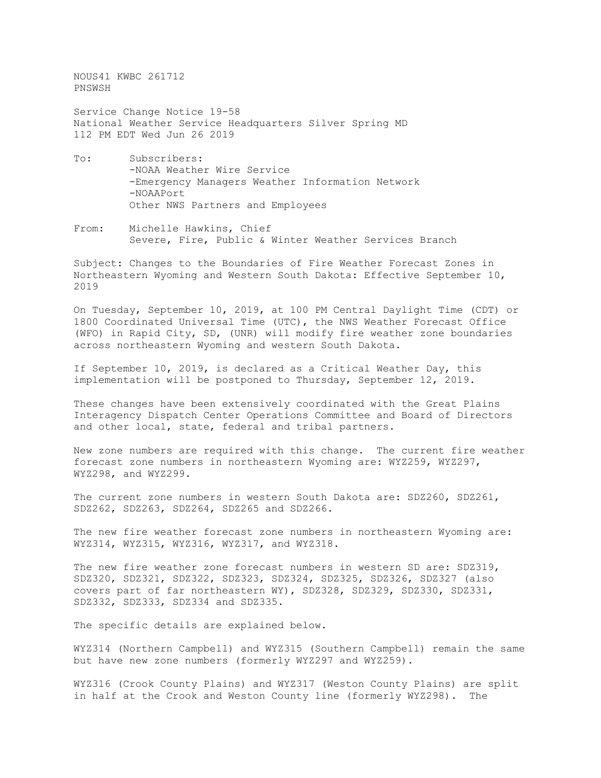NOUS41 KWBC 261712 PNSWSH

Service Change Notice 19-58 National Weather Service Headquarters Silver Spring MD 112 PM EDT Wed Jun 26 2019

- To: Subscribers: -NOAA Weather Wire Service -Emergency Managers Weather Information Network -NOAAPort Other NWS Partners and Employees
- From: Michelle Hawkins, Chief Severe, Fire, Public & Winter Weather Services Branch

Subject: Changes to the Boundaries of Fire Weather Forecast Zones in Northeastern Wyoming and Western South Dakota: Effective September 10, 2019

On Tuesday, September 10, 2019, at 100 PM Central Daylight Time (CDT) or 1800 Coordinated Universal Time (UTC), the NWS Weather Forecast Office (WFO) in Rapid City, SD, (UNR) will modify fire weather zone boundaries across northeastern Wyoming and western South Dakota.

If September 10, 2019, is declared as a Critical Weather Day, this implementation will be postponed to Thursday, September 12, 2019.

These changes have been extensively coordinated with the Great Plains Interagency Dispatch Center Operations Committee and Board of Directors and other local, state, federal and tribal partners.

New zone numbers are required with this change. The current fire weather forecast zone numbers in northeastern Wyoming are: WYZ259, WYZ297, WYZ298, and WYZ299.

The current zone numbers in western South Dakota are: SDZ260, SDZ261, SDZ262, SDZ263, SDZ264, SDZ265 and SDZ266.

The new fire weather forecast zone numbers in northeastern Wyoming are: WYZ314, WYZ315, WYZ316, WYZ317, and WYZ318.

The new fire weather zone forecast numbers in western SD are: SDZ319, SDZ320, SDZ321, SDZ322, SDZ323, SDZ324, SDZ325, SDZ326, SDZ327 (also covers part of far northeastern WY), SDZ328, SDZ329, SDZ330, SDZ331, SDZ332, SDZ333, SDZ334 and SDZ335.

The specific details are explained below.

WYZ314 (Northern Campbell) and WYZ315 (Southern Campbell) remain the same but have new zone numbers (formerly WYZ297 and WYZ259).

WYZ316 (Crook County Plains) and WYZ317 (Weston County Plains) are split in half at the Crook and Weston County line (formerly WYZ298). The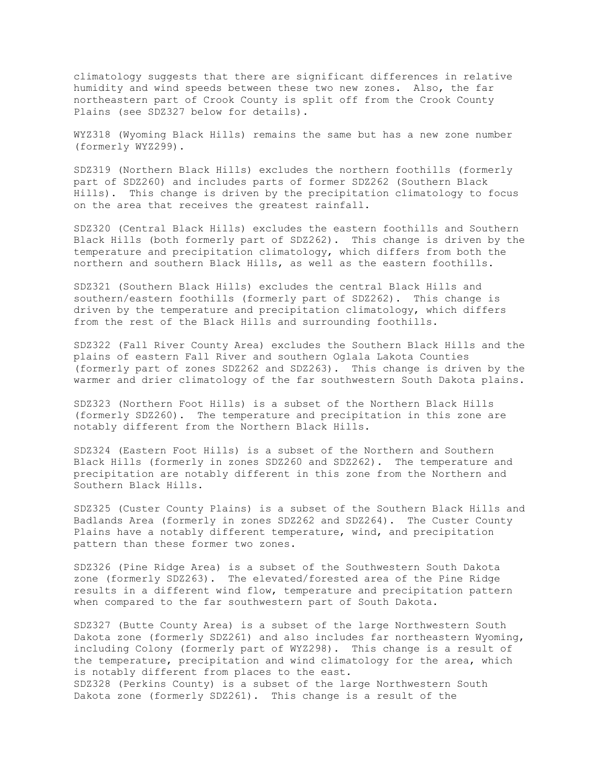climatology suggests that there are significant differences in relative humidity and wind speeds between these two new zones. Also, the far northeastern part of Crook County is split off from the Crook County Plains (see SDZ327 below for details).

WYZ318 (Wyoming Black Hills) remains the same but has a new zone number (formerly WYZ299).

SDZ319 (Northern Black Hills) excludes the northern foothills (formerly part of SDZ260) and includes parts of former SDZ262 (Southern Black Hills). This change is driven by the precipitation climatology to focus on the area that receives the greatest rainfall.

SDZ320 (Central Black Hills) excludes the eastern foothills and Southern Black Hills (both formerly part of SDZ262). This change is driven by the temperature and precipitation climatology, which differs from both the northern and southern Black Hills, as well as the eastern foothills.

SDZ321 (Southern Black Hills) excludes the central Black Hills and southern/eastern foothills (formerly part of SDZ262). This change is driven by the temperature and precipitation climatology, which differs from the rest of the Black Hills and surrounding foothills.

SDZ322 (Fall River County Area) excludes the Southern Black Hills and the plains of eastern Fall River and southern Oglala Lakota Counties (formerly part of zones SDZ262 and SDZ263). This change is driven by the warmer and drier climatology of the far southwestern South Dakota plains.

SDZ323 (Northern Foot Hills) is a subset of the Northern Black Hills (formerly SDZ260). The temperature and precipitation in this zone are notably different from the Northern Black Hills.

SDZ324 (Eastern Foot Hills) is a subset of the Northern and Southern Black Hills (formerly in zones SDZ260 and SDZ262). The temperature and precipitation are notably different in this zone from the Northern and Southern Black Hills.

SDZ325 (Custer County Plains) is a subset of the Southern Black Hills and Badlands Area (formerly in zones SDZ262 and SDZ264). The Custer County Plains have a notably different temperature, wind, and precipitation pattern than these former two zones.

SDZ326 (Pine Ridge Area) is a subset of the Southwestern South Dakota zone (formerly SDZ263). The elevated/forested area of the Pine Ridge results in a different wind flow, temperature and precipitation pattern when compared to the far southwestern part of South Dakota.

SDZ327 (Butte County Area) is a subset of the large Northwestern South Dakota zone (formerly SDZ261) and also includes far northeastern Wyoming, including Colony (formerly part of WYZ298). This change is a result of the temperature, precipitation and wind climatology for the area, which is notably different from places to the east.

SDZ328 (Perkins County) is a subset of the large Northwestern South Dakota zone (formerly SDZ261). This change is a result of the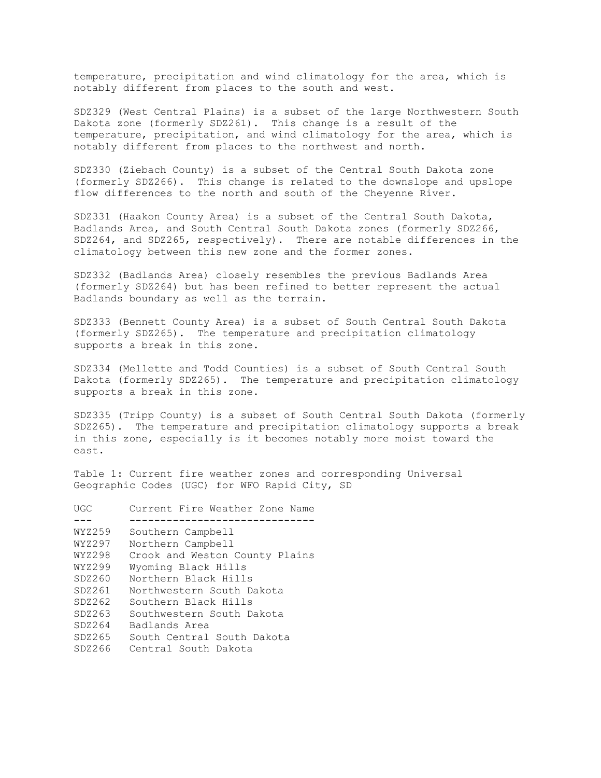temperature, precipitation and wind climatology for the area, which is notably different from places to the south and west.

SDZ329 (West Central Plains) is a subset of the large Northwestern South Dakota zone (formerly SDZ261). This change is a result of the temperature, precipitation, and wind climatology for the area, which is notably different from places to the northwest and north.

SDZ330 (Ziebach County) is a subset of the Central South Dakota zone (formerly SDZ266). This change is related to the downslope and upslope flow differences to the north and south of the Cheyenne River.

SDZ331 (Haakon County Area) is a subset of the Central South Dakota, Badlands Area, and South Central South Dakota zones (formerly SDZ266, SDZ264, and SDZ265, respectively). There are notable differences in the climatology between this new zone and the former zones.

SDZ332 (Badlands Area) closely resembles the previous Badlands Area (formerly SDZ264) but has been refined to better represent the actual Badlands boundary as well as the terrain.

SDZ333 (Bennett County Area) is a subset of South Central South Dakota (formerly SDZ265). The temperature and precipitation climatology supports a break in this zone.

SDZ334 (Mellette and Todd Counties) is a subset of South Central South Dakota (formerly SDZ265). The temperature and precipitation climatology supports a break in this zone.

SDZ335 (Tripp County) is a subset of South Central South Dakota (formerly SDZ265). The temperature and precipitation climatology supports a break in this zone, especially is it becomes notably more moist toward the east.

Table 1: Current fire weather zones and corresponding Universal Geographic Codes (UGC) for WFO Rapid City, SD

| UGC    | Current Fire Weather Zone Name |  |  |
|--------|--------------------------------|--|--|
|        |                                |  |  |
| WYZ259 | Southern Campbell              |  |  |
| WYZ297 | Northern Campbell              |  |  |
| WYZ298 | Crook and Weston County Plains |  |  |
| WYZ299 | Wyoming Black Hills            |  |  |
| SDZ260 | Northern Black Hills           |  |  |
| SDZ261 | Northwestern South Dakota      |  |  |
| SDZ262 | Southern Black Hills           |  |  |
| SDZ263 | Southwestern South Dakota      |  |  |
| SDZ264 | Badlands Area                  |  |  |
| SDZ265 | South Central South Dakota     |  |  |
| SDZ266 | Central South Dakota           |  |  |
|        |                                |  |  |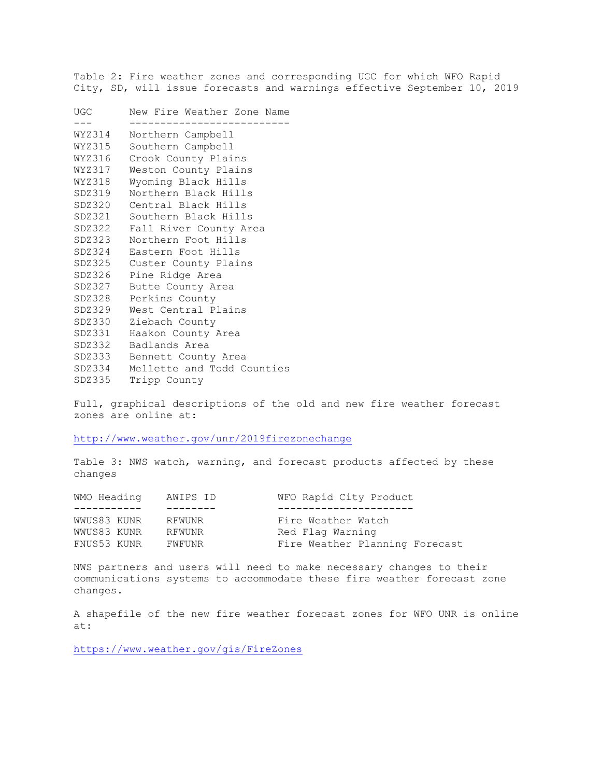Table 2: Fire weather zones and corresponding UGC for which WFO Rapid City, SD, will issue forecasts and warnings effective September 10, 2019

| UGC    | New Fire Weather Zone Name  |  |  |
|--------|-----------------------------|--|--|
|        |                             |  |  |
| WYZ314 | Northern Campbell           |  |  |
| WYZ315 | Southern Campbell           |  |  |
| WYZ316 | Crook County Plains         |  |  |
| WYZ317 | Weston County Plains        |  |  |
| WYZ318 | Wyoming Black Hills         |  |  |
| SDZ319 | Northern Black Hills        |  |  |
| SDZ320 | Central Black Hills         |  |  |
|        | SDZ321 Southern Black Hills |  |  |
| SDZ322 | Fall River County Area      |  |  |
| SDZ323 | Northern Foot Hills         |  |  |
| SDZ324 | Eastern Foot Hills          |  |  |
| SDZ325 | Custer County Plains        |  |  |
| SDZ326 | Pine Ridge Area             |  |  |
| SDZ327 | Butte County Area           |  |  |
| SDZ328 | Perkins County              |  |  |
| SDZ329 | West Central Plains         |  |  |
| SDZ330 | Ziebach County              |  |  |
| SDZ331 | Haakon County Area          |  |  |
| SDZ332 | Badlands Area               |  |  |
| SDZ333 | Bennett County Area         |  |  |
| SDZ334 | Mellette and Todd Counties  |  |  |
| SDZ335 | Tripp County                |  |  |
|        |                             |  |  |

Full, graphical descriptions of the old and new fire weather forecast zones are online at:

<http://www.weather.gov/unr/2019firezonechange>

Table 3: NWS watch, warning, and forecast products affected by these changes

| AWIPS ID                                                 | WFO Rapid City Product         |
|----------------------------------------------------------|--------------------------------|
|                                                          |                                |
| RFWUNR                                                   | Fire Weather Watch             |
| RFWUNR                                                   | Red Flag Warning               |
| FWFUNR                                                   | Fire Weather Planning Forecast |
| WMO Heading<br>WWUS83 KUNR<br>WWUS83 KUNR<br>FNUS53 KUNR |                                |

NWS partners and users will need to make necessary changes to their communications systems to accommodate these fire weather forecast zone changes.

A shapefile of the new fire weather forecast zones for WFO UNR is online at:

<https://www.weather.gov/gis/FireZones>